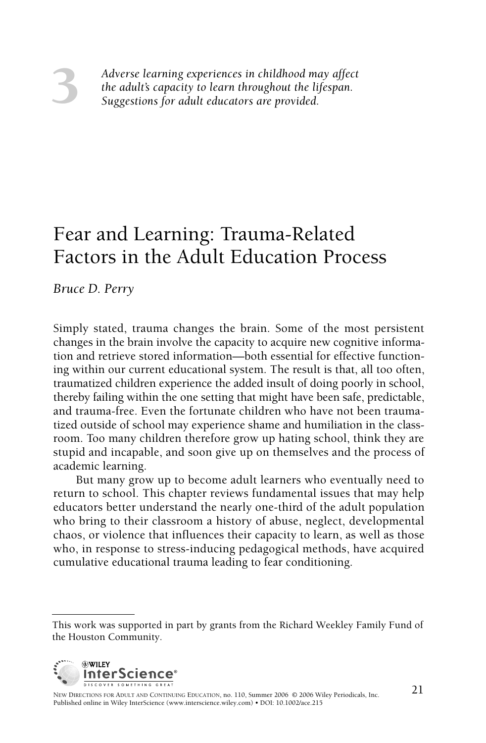*Adverse learning experiences in childhood may affect the adult's capacity to learn throughout the lifespan. Suggestions for adult educators are provided.*

## Fear and Learning: Trauma-Related Factors in the Adult Education Process

*Bruce D. Perry*

Simply stated, trauma changes the brain. Some of the most persistent changes in the brain involve the capacity to acquire new cognitive information and retrieve stored information—both essential for effective functioning within our current educational system. The result is that, all too often, traumatized children experience the added insult of doing poorly in school, thereby failing within the one setting that might have been safe, predictable, and trauma-free. Even the fortunate children who have not been traumatized outside of school may experience shame and humiliation in the classroom. Too many children therefore grow up hating school, think they are stupid and incapable, and soon give up on themselves and the process of academic learning.

But many grow up to become adult learners who eventually need to return to school. This chapter reviews fundamental issues that may help educators better understand the nearly one-third of the adult population who bring to their classroom a history of abuse, neglect, developmental chaos, or violence that influences their capacity to learn, as well as those who, in response to stress-inducing pedagogical methods, have acquired cumulative educational trauma leading to fear conditioning.

This work was supported in part by grants from the Richard Weekley Family Fund of the Houston Community.

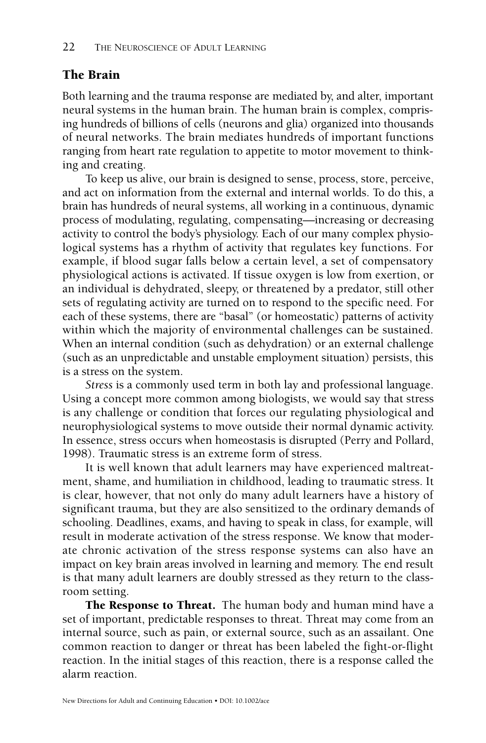## The Brain

Both learning and the trauma response are mediated by, and alter, important neural systems in the human brain. The human brain is complex, comprising hundreds of billions of cells (neurons and glia) organized into thousands of neural networks. The brain mediates hundreds of important functions ranging from heart rate regulation to appetite to motor movement to thinking and creating.

To keep us alive, our brain is designed to sense, process, store, perceive, and act on information from the external and internal worlds. To do this, a brain has hundreds of neural systems, all working in a continuous, dynamic process of modulating, regulating, compensating—increasing or decreasing activity to control the body's physiology. Each of our many complex physiological systems has a rhythm of activity that regulates key functions. For example, if blood sugar falls below a certain level, a set of compensatory physiological actions is activated. If tissue oxygen is low from exertion, or an individual is dehydrated, sleepy, or threatened by a predator, still other sets of regulating activity are turned on to respond to the specific need. For each of these systems, there are "basal" (or homeostatic) patterns of activity within which the majority of environmental challenges can be sustained. When an internal condition (such as dehydration) or an external challenge (such as an unpredictable and unstable employment situation) persists, this is a stress on the system.

*Stress* is a commonly used term in both lay and professional language. Using a concept more common among biologists, we would say that stress is any challenge or condition that forces our regulating physiological and neurophysiological systems to move outside their normal dynamic activity. In essence, stress occurs when homeostasis is disrupted (Perry and Pollard, 1998). Traumatic stress is an extreme form of stress.

It is well known that adult learners may have experienced maltreatment, shame, and humiliation in childhood, leading to traumatic stress. It is clear, however, that not only do many adult learners have a history of significant trauma, but they are also sensitized to the ordinary demands of schooling. Deadlines, exams, and having to speak in class, for example, will result in moderate activation of the stress response. We know that moderate chronic activation of the stress response systems can also have an impact on key brain areas involved in learning and memory. The end result is that many adult learners are doubly stressed as they return to the classroom setting.

The Response to Threat. The human body and human mind have a set of important, predictable responses to threat. Threat may come from an internal source, such as pain, or external source, such as an assailant. One common reaction to danger or threat has been labeled the fight-or-flight reaction. In the initial stages of this reaction, there is a response called the alarm reaction.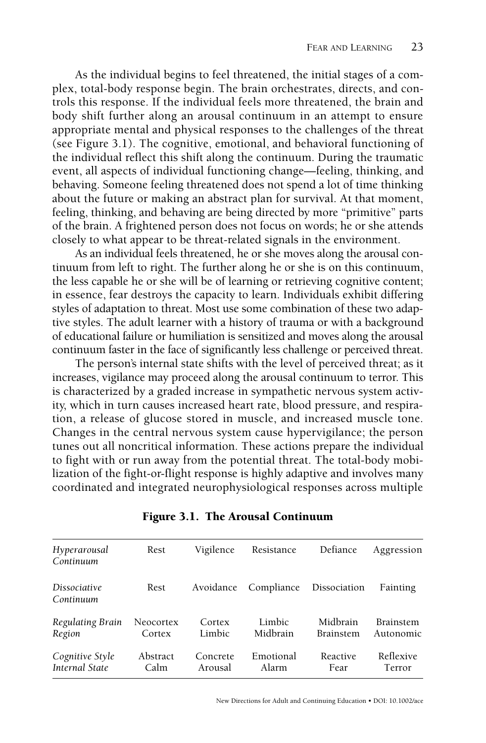As the individual begins to feel threatened, the initial stages of a complex, total-body response begin. The brain orchestrates, directs, and controls this response. If the individual feels more threatened, the brain and body shift further along an arousal continuum in an attempt to ensure appropriate mental and physical responses to the challenges of the threat (see Figure 3.1). The cognitive, emotional, and behavioral functioning of the individual reflect this shift along the continuum. During the traumatic event, all aspects of individual functioning change—feeling, thinking, and behaving. Someone feeling threatened does not spend a lot of time thinking about the future or making an abstract plan for survival. At that moment, feeling, thinking, and behaving are being directed by more "primitive" parts of the brain. A frightened person does not focus on words; he or she attends closely to what appear to be threat-related signals in the environment.

As an individual feels threatened, he or she moves along the arousal continuum from left to right. The further along he or she is on this continuum, the less capable he or she will be of learning or retrieving cognitive content; in essence, fear destroys the capacity to learn. Individuals exhibit differing styles of adaptation to threat. Most use some combination of these two adaptive styles. The adult learner with a history of trauma or with a background of educational failure or humiliation is sensitized and moves along the arousal continuum faster in the face of significantly less challenge or perceived threat.

The person's internal state shifts with the level of perceived threat; as it increases, vigilance may proceed along the arousal continuum to terror. This is characterized by a graded increase in sympathetic nervous system activity, which in turn causes increased heart rate, blood pressure, and respiration, a release of glucose stored in muscle, and increased muscle tone. Changes in the central nervous system cause hypervigilance; the person tunes out all noncritical information. These actions prepare the individual to fight with or run away from the potential threat. The total-body mobilization of the fight-or-flight response is highly adaptive and involves many coordinated and integrated neurophysiological responses across multiple

| Hyperarousal<br>Continuum | Rest      | Vigilence | Resistance | Defiance         | Aggression       |
|---------------------------|-----------|-----------|------------|------------------|------------------|
| Dissociative<br>Continuum | Rest      | Avoidance | Compliance | Dissociation     | Fainting         |
| Regulating Brain          | Neocortex | Cortex    | Limbic     | Midhrain         | <b>Brainstem</b> |
| Region                    | Cortex    | Limbic    | Midhrain   | <b>Brainstem</b> | Autonomic        |
| Cognitive Style           | Abstract  | Concrete  | Emotional  | Reactive         | Reflexive        |
| Internal State            | Calm      | Arousal   | Alarm      | Fear             | Terror           |

|  | <b>Figure 3.1. The Arousal Continuum</b> |  |
|--|------------------------------------------|--|
|--|------------------------------------------|--|

New Directions for Adult and Continuing Education • DOI: 10.1002/ace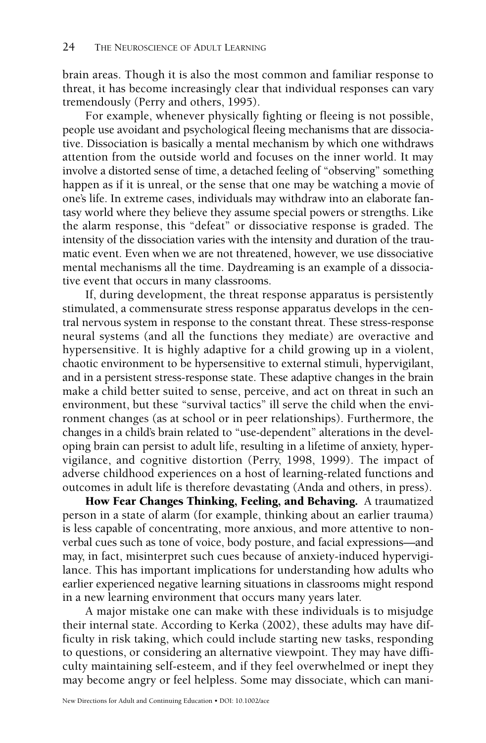brain areas. Though it is also the most common and familiar response to threat, it has become increasingly clear that individual responses can vary tremendously (Perry and others, 1995).

For example, whenever physically fighting or fleeing is not possible, people use avoidant and psychological fleeing mechanisms that are dissociative. Dissociation is basically a mental mechanism by which one withdraws attention from the outside world and focuses on the inner world. It may involve a distorted sense of time, a detached feeling of "observing" something happen as if it is unreal, or the sense that one may be watching a movie of one's life. In extreme cases, individuals may withdraw into an elaborate fantasy world where they believe they assume special powers or strengths. Like the alarm response, this "defeat" or dissociative response is graded. The intensity of the dissociation varies with the intensity and duration of the traumatic event. Even when we are not threatened, however, we use dissociative mental mechanisms all the time. Daydreaming is an example of a dissociative event that occurs in many classrooms.

If, during development, the threat response apparatus is persistently stimulated, a commensurate stress response apparatus develops in the central nervous system in response to the constant threat. These stress-response neural systems (and all the functions they mediate) are overactive and hypersensitive. It is highly adaptive for a child growing up in a violent, chaotic environment to be hypersensitive to external stimuli, hypervigilant, and in a persistent stress-response state. These adaptive changes in the brain make a child better suited to sense, perceive, and act on threat in such an environment, but these "survival tactics" ill serve the child when the environment changes (as at school or in peer relationships). Furthermore, the changes in a child's brain related to "use-dependent" alterations in the developing brain can persist to adult life, resulting in a lifetime of anxiety, hypervigilance, and cognitive distortion (Perry, 1998, 1999). The impact of adverse childhood experiences on a host of learning-related functions and outcomes in adult life is therefore devastating (Anda and others, in press).

How Fear Changes Thinking, Feeling, and Behaving. A traumatized person in a state of alarm (for example, thinking about an earlier trauma) is less capable of concentrating, more anxious, and more attentive to nonverbal cues such as tone of voice, body posture, and facial expressions—and may, in fact, misinterpret such cues because of anxiety-induced hypervigilance. This has important implications for understanding how adults who earlier experienced negative learning situations in classrooms might respond in a new learning environment that occurs many years later.

A major mistake one can make with these individuals is to misjudge their internal state. According to Kerka (2002), these adults may have difficulty in risk taking, which could include starting new tasks, responding to questions, or considering an alternative viewpoint. They may have difficulty maintaining self-esteem, and if they feel overwhelmed or inept they may become angry or feel helpless. Some may dissociate, which can mani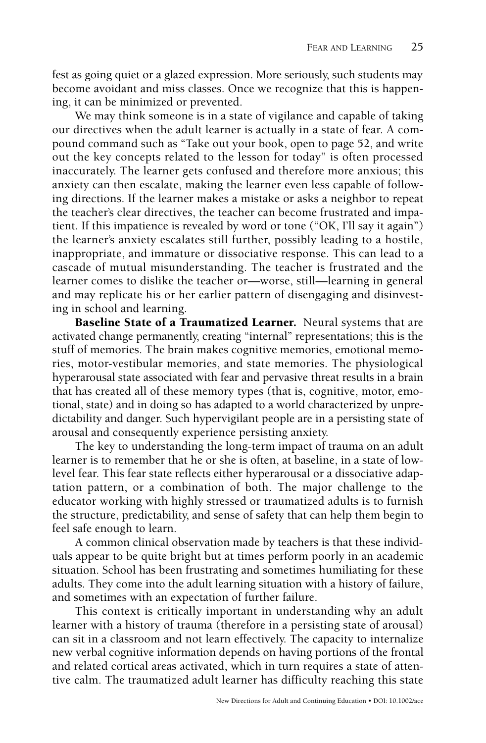fest as going quiet or a glazed expression. More seriously, such students may become avoidant and miss classes. Once we recognize that this is happening, it can be minimized or prevented.

We may think someone is in a state of vigilance and capable of taking our directives when the adult learner is actually in a state of fear. A compound command such as "Take out your book, open to page 52, and write out the key concepts related to the lesson for today" is often processed inaccurately. The learner gets confused and therefore more anxious; this anxiety can then escalate, making the learner even less capable of following directions. If the learner makes a mistake or asks a neighbor to repeat the teacher's clear directives, the teacher can become frustrated and impatient. If this impatience is revealed by word or tone ("OK, I'll say it again") the learner's anxiety escalates still further, possibly leading to a hostile, inappropriate, and immature or dissociative response. This can lead to a cascade of mutual misunderstanding. The teacher is frustrated and the learner comes to dislike the teacher or—worse, still—learning in general and may replicate his or her earlier pattern of disengaging and disinvesting in school and learning.

Baseline State of a Traumatized Learner. Neural systems that are activated change permanently, creating "internal" representations; this is the stuff of memories. The brain makes cognitive memories, emotional memories, motor-vestibular memories, and state memories. The physiological hyperarousal state associated with fear and pervasive threat results in a brain that has created all of these memory types (that is, cognitive, motor, emotional, state) and in doing so has adapted to a world characterized by unpredictability and danger. Such hypervigilant people are in a persisting state of arousal and consequently experience persisting anxiety.

The key to understanding the long-term impact of trauma on an adult learner is to remember that he or she is often, at baseline, in a state of lowlevel fear. This fear state reflects either hyperarousal or a dissociative adaptation pattern, or a combination of both. The major challenge to the educator working with highly stressed or traumatized adults is to furnish the structure, predictability, and sense of safety that can help them begin to feel safe enough to learn.

A common clinical observation made by teachers is that these individuals appear to be quite bright but at times perform poorly in an academic situation. School has been frustrating and sometimes humiliating for these adults. They come into the adult learning situation with a history of failure, and sometimes with an expectation of further failure.

This context is critically important in understanding why an adult learner with a history of trauma (therefore in a persisting state of arousal) can sit in a classroom and not learn effectively. The capacity to internalize new verbal cognitive information depends on having portions of the frontal and related cortical areas activated, which in turn requires a state of attentive calm. The traumatized adult learner has difficulty reaching this state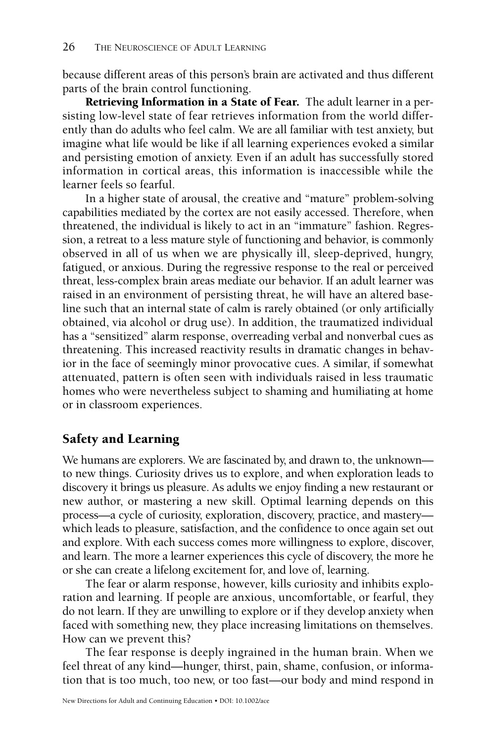because different areas of this person's brain are activated and thus different parts of the brain control functioning.

Retrieving Information in a State of Fear. The adult learner in a persisting low-level state of fear retrieves information from the world differently than do adults who feel calm. We are all familiar with test anxiety, but imagine what life would be like if all learning experiences evoked a similar and persisting emotion of anxiety. Even if an adult has successfully stored information in cortical areas, this information is inaccessible while the learner feels so fearful.

In a higher state of arousal, the creative and "mature" problem-solving capabilities mediated by the cortex are not easily accessed. Therefore, when threatened, the individual is likely to act in an "immature" fashion. Regression, a retreat to a less mature style of functioning and behavior, is commonly observed in all of us when we are physically ill, sleep-deprived, hungry, fatigued, or anxious. During the regressive response to the real or perceived threat, less-complex brain areas mediate our behavior. If an adult learner was raised in an environment of persisting threat, he will have an altered baseline such that an internal state of calm is rarely obtained (or only artificially obtained, via alcohol or drug use). In addition, the traumatized individual has a "sensitized" alarm response, overreading verbal and nonverbal cues as threatening. This increased reactivity results in dramatic changes in behavior in the face of seemingly minor provocative cues. A similar, if somewhat attenuated, pattern is often seen with individuals raised in less traumatic homes who were nevertheless subject to shaming and humiliating at home or in classroom experiences.

## Safety and Learning

We humans are explorers. We are fascinated by, and drawn to, the unknown to new things. Curiosity drives us to explore, and when exploration leads to discovery it brings us pleasure. As adults we enjoy finding a new restaurant or new author, or mastering a new skill. Optimal learning depends on this process—a cycle of curiosity, exploration, discovery, practice, and mastery which leads to pleasure, satisfaction, and the confidence to once again set out and explore. With each success comes more willingness to explore, discover, and learn. The more a learner experiences this cycle of discovery, the more he or she can create a lifelong excitement for, and love of, learning.

The fear or alarm response, however, kills curiosity and inhibits exploration and learning. If people are anxious, uncomfortable, or fearful, they do not learn. If they are unwilling to explore or if they develop anxiety when faced with something new, they place increasing limitations on themselves. How can we prevent this?

The fear response is deeply ingrained in the human brain. When we feel threat of any kind—hunger, thirst, pain, shame, confusion, or information that is too much, too new, or too fast—our body and mind respond in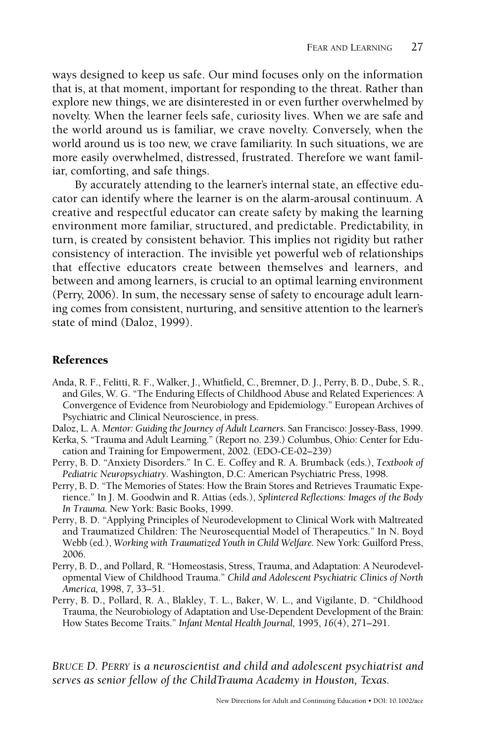ways designed to keep us safe. Our mind focuses only on the information that is, at that moment, important for responding to the threat. Rather than explore new things, we are disinterested in or even further overwhelmed by novelty. When the learner feels safe, curiosity lives. When we are safe and the world around us is familiar, we crave novelty. Conversely, when the world around us is too new, we crave familiarity. In such situations, we are more easily overwhelmed, distressed, frustrated. Therefore we want familiar, comforting, and safe things.

By accurately attending to the learner's internal state, an effective educator can identify where the learner is on the alarm-arousal continuum. A creative and respectful educator can create safety by making the learning environment more familiar, structured, and predictable. Predictability, in turn, is created by consistent behavior. This implies not rigidity but rather consistency of interaction. The invisible yet powerful web of relationships that effective educators create between themselves and learners, and between and among learners, is crucial to an optimal learning environment (Perry, 2006). In sum, the necessary sense of safety to encourage adult learning comes from consistent, nurturing, and sensitive attention to the learner's state of mind (Daloz, 1999).

## References

- Anda, R. F., Felitti, R. F., Walker, J., Whitfield, C., Bremner, D. J., Perry, B. D., Dube, S. R., and Giles, W. G. "The Enduring Effects of Childhood Abuse and Related Experiences: A Convergence of Evidence from Neurobiology and Epidemiology." European Archives of Psychiatric and Clinical Neuroscience, in press.
- Daloz, L. A. *Mentor: Guiding the Journey of Adult Learners.* San Francisco: Jossey-Bass, 1999.
- Kerka, S. "Trauma and Adult Learning." (Report no. 239.) Columbus, Ohio: Center for Education and Training for Empowerment, 2002. (EDO-CE-02–239)
- Perry, B. D. "Anxiety Disorders." In C. E. Coffey and R. A. Brumback (eds.), *Textbook of Pediatric Neuropsychiatry.* Washington, D.C: American Psychiatric Press, 1998.
- Perry, B. D. "The Memories of States: How the Brain Stores and Retrieves Traumatic Experience." In J. M. Goodwin and R. Attias (eds.), *Splintered Reflections: Images of the Body In Trauma.* New York: Basic Books, 1999.
- Perry, B. D. "Applying Principles of Neurodevelopment to Clinical Work with Maltreated and Traumatized Children: The Neurosequential Model of Therapeutics." In N. Boyd Webb (ed.), *Working with Traumatized Youth in Child Welfare.* New York: Guilford Press, 2006.
- Perry, B. D., and Pollard, R. "Homeostasis, Stress, Trauma, and Adaptation: A Neurodevelopmental View of Childhood Trauma." *Child and Adolescent Psychiatric Clinics of North America,* 1998, *7,* 33–51.
- Perry, B. D., Pollard, R. A., Blakley, T. L., Baker, W. L., and Vigilante, D. "Childhood Trauma, the Neurobiology of Adaptation and Use-Dependent Development of the Brain: How States Become Traits." *Infant Mental Health Journal,* 1995, *16*(4), 271–291.

*BRUCE D. PERRY is a neuroscientist and child and adolescent psychiatrist and serves as senior fellow of the ChildTrauma Academy in Houston, Texas.*